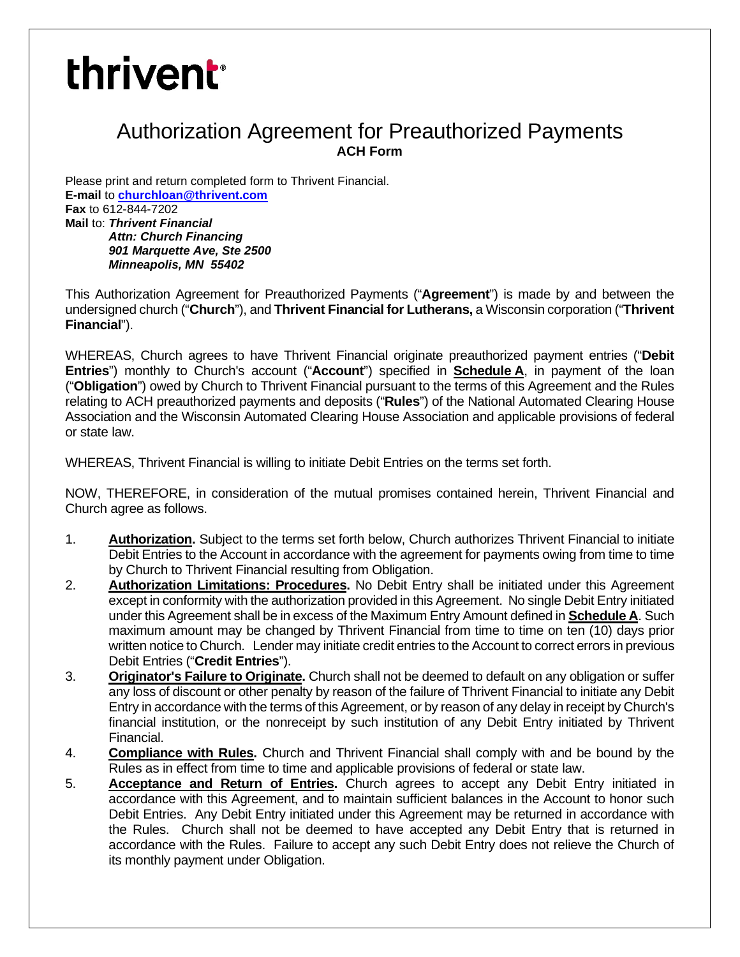# **thrivent**<sup>®</sup>

# Authorization Agreement for Preauthorized Payments **ACH Form**

Please print and return completed form to Thrivent Financial. **E-mail** to **churchloan@thrivent.com Fax** to 612-844-7202 **Mail** to: *Thrivent Financial Attn: Church Financing 901 Marquette Ave, Ste 2500 Minneapolis, MN 55402*

This Authorization Agreement for Preauthorized Payments ("**Agreement**") is made by and between the undersigned church ("**Church**"), and **Thrivent Financial for Lutherans,** a Wisconsin corporation ("**Thrivent Financial**").

WHEREAS, Church agrees to have Thrivent Financial originate preauthorized payment entries ("**Debit Entries**") monthly to Church's account ("**Account**") specified in **Schedule A**, in payment of the loan ("**Obligation**") owed by Church to Thrivent Financial pursuant to the terms of this Agreement and the Rules relating to ACH preauthorized payments and deposits ("**Rules**") of the National Automated Clearing House Association and the Wisconsin Automated Clearing House Association and applicable provisions of federal or state law.

WHEREAS, Thrivent Financial is willing to initiate Debit Entries on the terms set forth.

NOW, THEREFORE, in consideration of the mutual promises contained herein, Thrivent Financial and Church agree as follows.

- 1. **Authorization.** Subject to the terms set forth below, Church authorizes Thrivent Financial to initiate Debit Entries to the Account in accordance with the agreement for payments owing from time to time by Church to Thrivent Financial resulting from Obligation.
- 2. **Authorization Limitations: Procedures.** No Debit Entry shall be initiated under this Agreement except in conformity with the authorization provided in this Agreement. No single Debit Entry initiated under this Agreement shall be in excess of the Maximum Entry Amount defined in **Schedule A**. Such maximum amount may be changed by Thrivent Financial from time to time on ten (10) days prior written notice to Church. Lender may initiate credit entries to the Account to correct errors in previous Debit Entries ("**Credit Entries**").
- 3. **Originator's Failure to Originate.** Church shall not be deemed to default on any obligation or suffer any loss of discount or other penalty by reason of the failure of Thrivent Financial to initiate any Debit Entry in accordance with the terms of this Agreement, or by reason of any delay in receipt by Church's financial institution, or the nonreceipt by such institution of any Debit Entry initiated by Thrivent Financial.
- 4. **Compliance with Rules.** Church and Thrivent Financial shall comply with and be bound by the Rules as in effect from time to time and applicable provisions of federal or state law.
- 5. **Acceptance and Return of Entries.** Church agrees to accept any Debit Entry initiated in accordance with this Agreement, and to maintain sufficient balances in the Account to honor such Debit Entries. Any Debit Entry initiated under this Agreement may be returned in accordance with the Rules. Church shall not be deemed to have accepted any Debit Entry that is returned in accordance with the Rules. Failure to accept any such Debit Entry does not relieve the Church of its monthly payment under Obligation.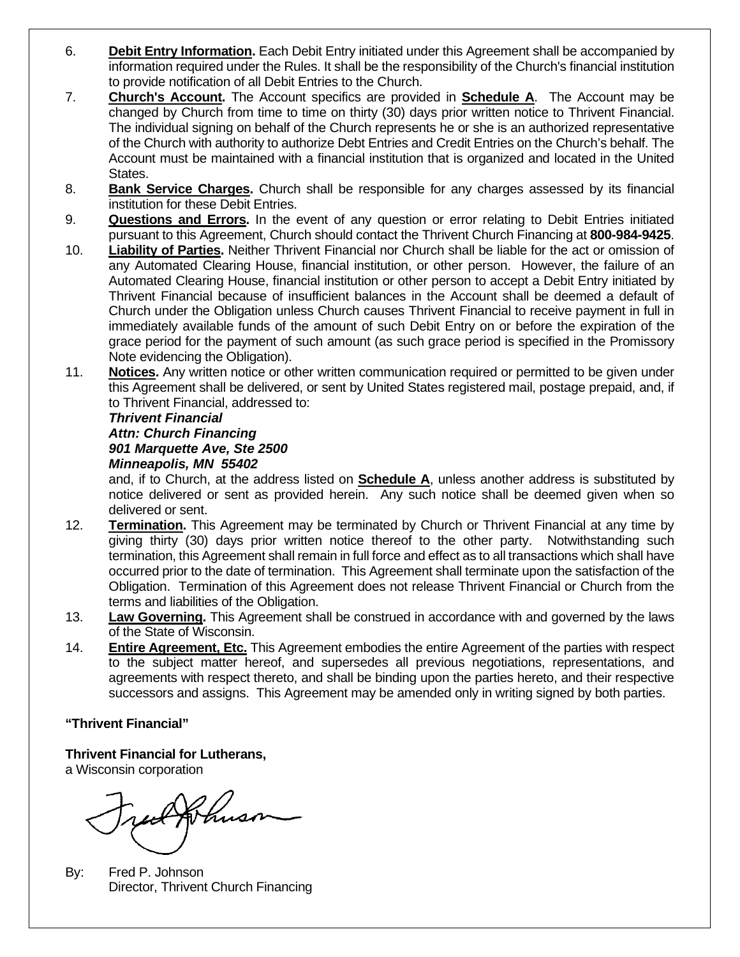- 6. **Debit Entry Information.** Each Debit Entry initiated under this Agreement shall be accompanied by information required under the Rules. It shall be the responsibility of the Church's financial institution to provide notification of all Debit Entries to the Church.
- 7. **Church's Account.** The Account specifics are provided in **Schedule A**. The Account may be changed by Church from time to time on thirty (30) days prior written notice to Thrivent Financial. The individual signing on behalf of the Church represents he or she is an authorized representative of the Church with authority to authorize Debt Entries and Credit Entries on the Church's behalf. The Account must be maintained with a financial institution that is organized and located in the United States.
- 8. **Bank Service Charges.** Church shall be responsible for any charges assessed by its financial institution for these Debit Entries.
- 9. **Questions and Errors.** In the event of any question or error relating to Debit Entries initiated pursuant to this Agreement, Church should contact the Thrivent Church Financing at **800-984-9425**.
- 10. **Liability of Parties.** Neither Thrivent Financial nor Church shall be liable for the act or omission of any Automated Clearing House, financial institution, or other person. However, the failure of an Automated Clearing House, financial institution or other person to accept a Debit Entry initiated by Thrivent Financial because of insufficient balances in the Account shall be deemed a default of Church under the Obligation unless Church causes Thrivent Financial to receive payment in full in immediately available funds of the amount of such Debit Entry on or before the expiration of the grace period for the payment of such amount (as such grace period is specified in the Promissory Note evidencing the Obligation).
- 11. **Notices.** Any written notice or other written communication required or permitted to be given under this Agreement shall be delivered, or sent by United States registered mail, postage prepaid, and, if to Thrivent Financial, addressed to:

#### *Thrivent Financial Attn: Church Financing 901 Marquette Ave, Ste 2500 Minneapolis, MN 55402*

and, if to Church, at the address listed on **Schedule A**, unless another address is substituted by notice delivered or sent as provided herein. Any such notice shall be deemed given when so delivered or sent.

- 12. **Termination.** This Agreement may be terminated by Church or Thrivent Financial at any time by giving thirty (30) days prior written notice thereof to the other party. Notwithstanding such termination, this Agreement shall remain in full force and effect as to all transactions which shall have occurred prior to the date of termination. This Agreement shall terminate upon the satisfaction of the Obligation. Termination of this Agreement does not release Thrivent Financial or Church from the terms and liabilities of the Obligation.
- 13. **Law Governing.** This Agreement shall be construed in accordance with and governed by the laws of the State of Wisconsin.
- 14. **Entire Agreement, Etc.** This Agreement embodies the entire Agreement of the parties with respect to the subject matter hereof, and supersedes all previous negotiations, representations, and agreements with respect thereto, and shall be binding upon the parties hereto, and their respective successors and assigns. This Agreement may be amended only in writing signed by both parties.

### **"Thrivent Financial"**

**Thrivent Financial for Lutherans,**

a Wisconsin corporation

ut Johnson

By: Fred P. Johnson Director, Thrivent Church Financing